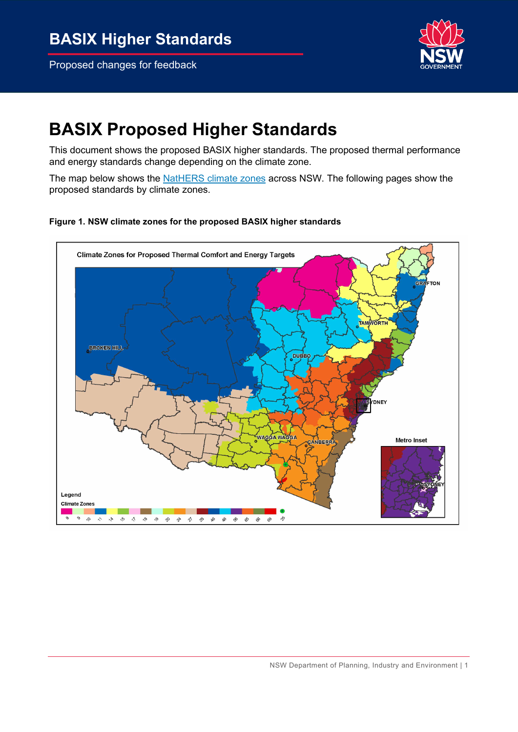Proposed changes for feedback



# **BASIX Proposed Higher Standards**

This document shows the proposed BASIX higher standards. The proposed thermal performance and energy standards change depending on the climate zone.

The map below shows the [NatHERS climate zones](https://www.nathers.gov.au/nathers-accredited-software/nathers-climate-zones-and-weather-files) across NSW. The following pages show the proposed standards by climate zones.

## **Figure 1. NSW climate zones for the proposed BASIX higher standards**

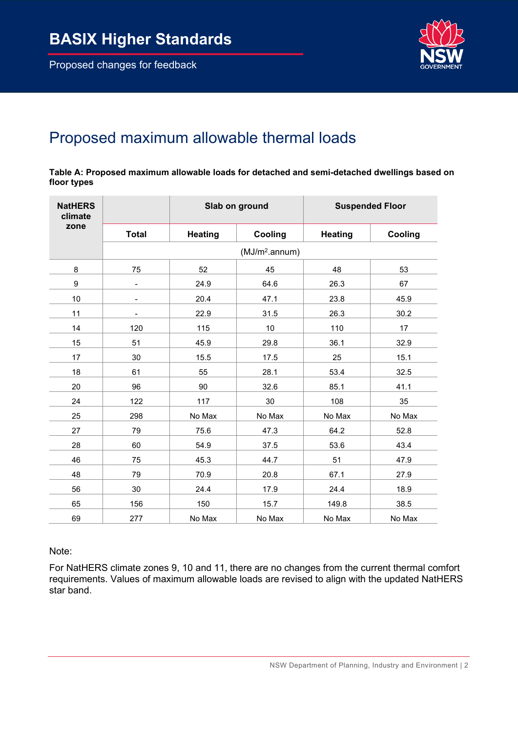Proposed changes for feedback



## Proposed maximum allowable thermal loads

### **Table A: Proposed maximum allowable loads for detached and semi-detached dwellings based on floor types**

| <b>NatHERS</b><br>climate |                              | Slab on ground |         | <b>Suspended Floor</b> |         |  |  |
|---------------------------|------------------------------|----------------|---------|------------------------|---------|--|--|
| zone                      | <b>Total</b>                 | <b>Heating</b> | Cooling | <b>Heating</b>         | Cooling |  |  |
|                           | (MJ/m <sup>2</sup> .annum)   |                |         |                        |         |  |  |
| 8                         | 75                           | 52             | 45      | 48                     | 53      |  |  |
| 9                         | $\qquad \qquad \blacksquare$ | 24.9           | 64.6    | 26.3                   | 67      |  |  |
| 10                        |                              | 20.4           | 47.1    | 23.8                   | 45.9    |  |  |
| 11                        |                              | 22.9           | 31.5    | 26.3                   | 30.2    |  |  |
| 14                        | 120                          | 115            | 10      | 110                    | 17      |  |  |
| 15                        | 51                           | 45.9           | 29.8    | 36.1                   | 32.9    |  |  |
| 17                        | 30                           | 15.5           | 17.5    | 25                     | 15.1    |  |  |
| 18                        | 61                           | 55             | 28.1    | 53.4                   | 32.5    |  |  |
| 20                        | 96                           | 90             | 32.6    | 85.1                   | 41.1    |  |  |
| 24                        | 122                          | 117            | 30      | 108                    | 35      |  |  |
| 25                        | 298                          | No Max         | No Max  | No Max                 | No Max  |  |  |
| 27                        | 79                           | 75.6           | 47.3    | 64.2                   | 52.8    |  |  |
| 28                        | 60                           | 54.9           | 37.5    | 53.6                   | 43.4    |  |  |
| 46                        | 75                           | 45.3           | 44.7    | 51                     | 47.9    |  |  |
| 48                        | 79                           | 70.9           | 20.8    | 67.1                   | 27.9    |  |  |
| 56                        | 30                           | 24.4           | 17.9    | 24.4                   | 18.9    |  |  |
| 65                        | 156                          | 150            | 15.7    | 149.8                  | 38.5    |  |  |
| 69                        | 277                          | No Max         | No Max  | No Max                 | No Max  |  |  |

Note:

For NatHERS climate zones 9, 10 and 11, there are no changes from the current thermal comfort requirements. Values of maximum allowable loads are revised to align with the updated NatHERS star band.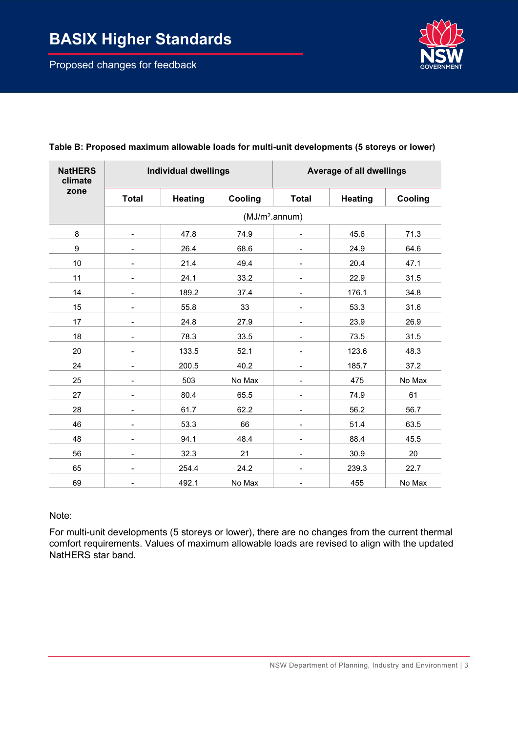

| <b>NatHERS</b><br>climate<br>zone | <b>Individual dwellings</b> |         |         | Average of all dwellings |                |         |  |
|-----------------------------------|-----------------------------|---------|---------|--------------------------|----------------|---------|--|
|                                   | <b>Total</b>                | Heating | Cooling | <b>Total</b>             | <b>Heating</b> | Cooling |  |
|                                   | (MJ/m <sup>2</sup> .annum)  |         |         |                          |                |         |  |
| 8                                 |                             | 47.8    | 74.9    |                          | 45.6           | 71.3    |  |
| $\boldsymbol{9}$                  |                             | 26.4    | 68.6    |                          | 24.9           | 64.6    |  |
| 10                                |                             | 21.4    | 49.4    |                          | 20.4           | 47.1    |  |
| 11                                |                             | 24.1    | 33.2    |                          | 22.9           | 31.5    |  |
| 14                                |                             | 189.2   | 37.4    |                          | 176.1          | 34.8    |  |
| 15                                |                             | 55.8    | 33      |                          | 53.3           | 31.6    |  |
| 17                                |                             | 24.8    | 27.9    |                          | 23.9           | 26.9    |  |
| 18                                |                             | 78.3    | 33.5    |                          | 73.5           | 31.5    |  |
| 20                                |                             | 133.5   | 52.1    |                          | 123.6          | 48.3    |  |
| 24                                |                             | 200.5   | 40.2    |                          | 185.7          | 37.2    |  |
| 25                                |                             | 503     | No Max  |                          | 475            | No Max  |  |
| 27                                |                             | 80.4    | 65.5    |                          | 74.9           | 61      |  |
| 28                                |                             | 61.7    | 62.2    |                          | 56.2           | 56.7    |  |
| 46                                |                             | 53.3    | 66      |                          | 51.4           | 63.5    |  |
| 48                                |                             | 94.1    | 48.4    |                          | 88.4           | 45.5    |  |
| 56                                |                             | 32.3    | 21      |                          | 30.9           | 20      |  |
| 65                                |                             | 254.4   | 24.2    |                          | 239.3          | 22.7    |  |
| 69                                |                             | 492.1   | No Max  |                          | 455            | No Max  |  |

## **Table B: Proposed maximum allowable loads for multi-unit developments (5 storeys or lower)**

Note:

For multi-unit developments (5 storeys or lower), there are no changes from the current thermal comfort requirements. Values of maximum allowable loads are revised to align with the updated NatHERS star band.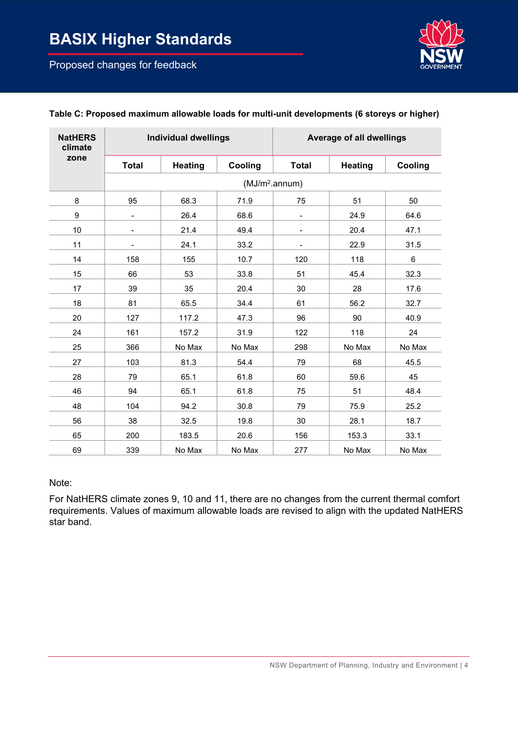

| <b>NatHERS</b><br>climate | <b>Individual dwellings</b> |                |         | Average of all dwellings |                |         |
|---------------------------|-----------------------------|----------------|---------|--------------------------|----------------|---------|
| zone                      | <b>Total</b>                | <b>Heating</b> | Cooling | <b>Total</b>             | <b>Heating</b> | Cooling |
|                           | (MJ/m <sup>2</sup> .annum)  |                |         |                          |                |         |
| 8                         | 95                          | 68.3           | 71.9    | 75                       | 51             | 50      |
| $\boldsymbol{9}$          |                             | 26.4           | 68.6    |                          | 24.9           | 64.6    |
| 10                        | -                           | 21.4           | 49.4    | $\blacksquare$           | 20.4           | 47.1    |
| 11                        |                             | 24.1           | 33.2    | -                        | 22.9           | 31.5    |
| 14                        | 158                         | 155            | 10.7    | 120                      | 118            | 6       |
| 15                        | 66                          | 53             | 33.8    | 51                       | 45.4           | 32.3    |
| 17                        | 39                          | 35             | 20.4    | 30                       | 28             | 17.6    |
| 18                        | 81                          | 65.5           | 34.4    | 61                       | 56.2           | 32.7    |
| 20                        | 127                         | 117.2          | 47.3    | 96                       | 90             | 40.9    |
| 24                        | 161                         | 157.2          | 31.9    | 122                      | 118            | 24      |
| 25                        | 366                         | No Max         | No Max  | 298                      | No Max         | No Max  |
| 27                        | 103                         | 81.3           | 54.4    | 79                       | 68             | 45.5    |
| 28                        | 79                          | 65.1           | 61.8    | 60                       | 59.6           | 45      |
| 46                        | 94                          | 65.1           | 61.8    | 75                       | 51             | 48.4    |
| 48                        | 104                         | 94.2           | 30.8    | 79                       | 75.9           | 25.2    |
| 56                        | 38                          | 32.5           | 19.8    | 30                       | 28.1           | 18.7    |
| 65                        | 200                         | 183.5          | 20.6    | 156                      | 153.3          | 33.1    |
| 69                        | 339                         | No Max         | No Max  | 277                      | No Max         | No Max  |

#### **Table C: Proposed maximum allowable loads for multi-unit developments (6 storeys or higher)**

## Note:

For NatHERS climate zones 9, 10 and 11, there are no changes from the current thermal comfort requirements. Values of maximum allowable loads are revised to align with the updated NatHERS star band.